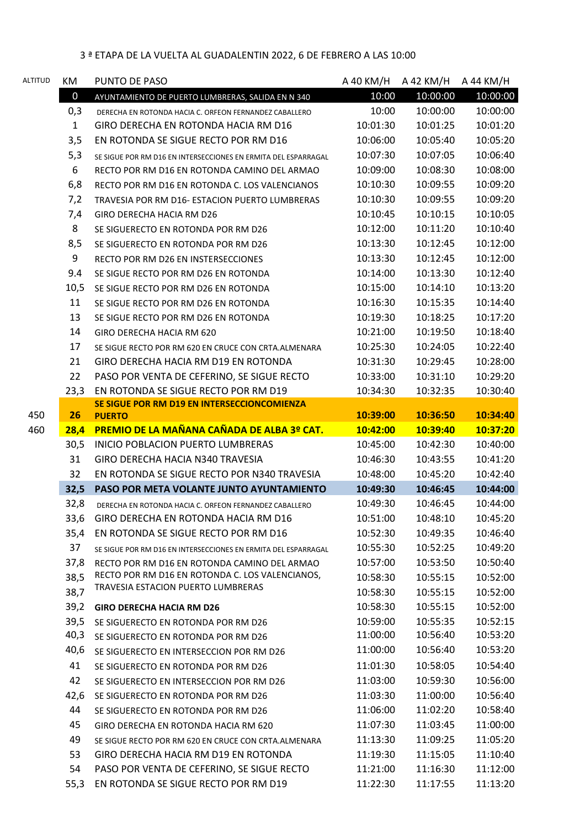| ALTITUD | КM           | PUNTO DE PASO                                                                         | A 40 KM/H | A 42 KM/H | A 44 KM/H |
|---------|--------------|---------------------------------------------------------------------------------------|-----------|-----------|-----------|
|         | $\mathbf 0$  | AYUNTAMIENTO DE PUERTO LUMBRERAS, SALIDA EN N 340                                     | 10:00     | 10:00:00  | 10:00:00  |
|         | 0,3          | DERECHA EN ROTONDA HACIA C. ORFEON FERNANDEZ CABALLERO                                | 10:00     | 10:00:00  | 10:00:00  |
|         | $\mathbf{1}$ | GIRO DERECHA EN ROTONDA HACIA RM D16                                                  | 10:01:30  | 10:01:25  | 10:01:20  |
|         | 3,5          | EN ROTONDA SE SIGUE RECTO POR RM D16                                                  | 10:06:00  | 10:05:40  | 10:05:20  |
|         | 5,3          | SE SIGUE POR RM D16 EN INTERSECCIONES EN ERMITA DEL ESPARRAGAL                        | 10:07:30  | 10:07:05  | 10:06:40  |
|         | 6            | RECTO POR RM D16 EN ROTONDA CAMINO DEL ARMAO                                          | 10:09:00  | 10:08:30  | 10:08:00  |
|         | 6,8          | RECTO POR RM D16 EN ROTONDA C. LOS VALENCIANOS                                        | 10:10:30  | 10:09:55  | 10:09:20  |
|         | 7,2          | TRAVESIA POR RM D16- ESTACION PUERTO LUMBRERAS                                        | 10:10:30  | 10:09:55  | 10:09:20  |
|         | 7,4          | GIRO DERECHA HACIA RM D26                                                             | 10:10:45  | 10:10:15  | 10:10:05  |
|         | 8            | SE SIGUERECTO EN ROTONDA POR RM D26                                                   | 10:12:00  | 10:11:20  | 10:10:40  |
|         | 8,5          | SE SIGUERECTO EN ROTONDA POR RM D26                                                   | 10:13:30  | 10:12:45  | 10:12:00  |
|         | 9            | RECTO POR RM D26 EN INSTERSECCIONES                                                   | 10:13:30  | 10:12:45  | 10:12:00  |
|         | 9.4          | SE SIGUE RECTO POR RM D26 EN ROTONDA                                                  | 10:14:00  | 10:13:30  | 10:12:40  |
|         | 10,5         | SE SIGUE RECTO POR RM D26 EN ROTONDA                                                  | 10:15:00  | 10:14:10  | 10:13:20  |
|         | 11           | SE SIGUE RECTO POR RM D26 EN ROTONDA                                                  | 10:16:30  | 10:15:35  | 10:14:40  |
|         | 13           | SE SIGUE RECTO POR RM D26 EN ROTONDA                                                  | 10:19:30  | 10:18:25  | 10:17:20  |
|         | 14           | GIRO DERECHA HACIA RM 620                                                             | 10:21:00  | 10:19:50  | 10:18:40  |
|         | 17           | SE SIGUE RECTO POR RM 620 EN CRUCE CON CRTA.ALMENARA                                  | 10:25:30  | 10:24:05  | 10:22:40  |
|         | 21           | GIRO DERECHA HACIA RM D19 EN ROTONDA                                                  | 10:31:30  | 10:29:45  | 10:28:00  |
|         | 22           | PASO POR VENTA DE CEFERINO, SE SIGUE RECTO                                            | 10:33:00  | 10:31:10  | 10:29:20  |
|         | 23,3         | EN ROTONDA SE SIGUE RECTO POR RM D19                                                  | 10:34:30  | 10:32:35  | 10:30:40  |
|         |              | SE SIGUE POR RM D19 EN INTERSECCIONCOMIENZA                                           |           |           |           |
| 450     | 26           | <b>PUERTO</b>                                                                         | 10:39:00  | 10:36:50  | 10:34:40  |
| 460     | 28,4         | PREMIO DE LA MAÑANA CAÑADA DE ALBA 3º CAT.                                            | 10:42:00  | 10:39:40  | 10:37:20  |
|         | 30,5         | INICIO POBLACION PUERTO LUMBRERAS                                                     | 10:45:00  | 10:42:30  | 10:40:00  |
|         | 31           | <b>GIRO DERECHA HACIA N340 TRAVESIA</b>                                               | 10:46:30  | 10:43:55  | 10:41:20  |
|         | 32           | EN ROTONDA SE SIGUE RECTO POR N340 TRAVESIA                                           | 10:48:00  | 10:45:20  | 10:42:40  |
|         | 32,5         | PASO POR META VOLANTE JUNTO AYUNTAMIENTO                                              | 10:49:30  | 10:46:45  | 10:44:00  |
|         | 32,8         | DERECHA EN ROTONDA HACIA C. ORFEON FERNANDEZ CABALLERO                                | 10:49:30  | 10:46:45  | 10:44:00  |
|         | 33,6         | GIRO DERECHA EN ROTONDA HACIA RM D16                                                  | 10:51:00  | 10:48:10  | 10:45:20  |
|         | 35,4         | EN ROTONDA SE SIGUE RECTO POR RM D16                                                  | 10:52:30  | 10:49:35  | 10:46:40  |
|         | 37           | SE SIGUE POR RM D16 EN INTERSECCIONES EN ERMITA DEL ESPARRAGAL                        | 10:55:30  | 10:52:25  | 10:49:20  |
|         | 37,8         | RECTO POR RM D16 EN ROTONDA CAMINO DEL ARMAO                                          | 10:57:00  | 10:53:50  | 10:50:40  |
|         | 38,5         | RECTO POR RM D16 EN ROTONDA C. LOS VALENCIANOS,<br>TRAVESIA ESTACION PUERTO LUMBRERAS | 10:58:30  | 10:55:15  | 10:52:00  |
|         | 38,7         |                                                                                       | 10:58:30  | 10:55:15  | 10:52:00  |
|         | 39,2         | <b>GIRO DERECHA HACIA RM D26</b>                                                      | 10:58:30  | 10:55:15  | 10:52:00  |
|         | 39,5         | SE SIGUERECTO EN ROTONDA POR RM D26                                                   | 10:59:00  | 10:55:35  | 10:52:15  |
|         | 40,3         | SE SIGUERECTO EN ROTONDA POR RM D26                                                   | 11:00:00  | 10:56:40  | 10:53:20  |
|         | 40,6         | SE SIGUERECTO EN INTERSECCION POR RM D26                                              | 11:00:00  | 10:56:40  | 10:53:20  |
|         | 41           | SE SIGUERECTO EN ROTONDA POR RM D26                                                   | 11:01:30  | 10:58:05  | 10:54:40  |
|         | 42           | SE SIGUERECTO EN INTERSECCION POR RM D26                                              | 11:03:00  | 10:59:30  | 10:56:00  |
|         | 42,6         | SE SIGUERECTO EN ROTONDA POR RM D26                                                   | 11:03:30  | 11:00:00  | 10:56:40  |
|         | 44           | SE SIGUERECTO EN ROTONDA POR RM D26                                                   | 11:06:00  | 11:02:20  | 10:58:40  |
|         | 45           | GIRO DERECHA EN ROTONDA HACIA RM 620                                                  | 11:07:30  | 11:03:45  | 11:00:00  |
|         | 49           | SE SIGUE RECTO POR RM 620 EN CRUCE CON CRTA.ALMENARA                                  | 11:13:30  | 11:09:25  | 11:05:20  |
|         | 53           | GIRO DERECHA HACIA RM D19 EN ROTONDA                                                  | 11:19:30  | 11:15:05  | 11:10:40  |
|         | 54           | PASO POR VENTA DE CEFERINO, SE SIGUE RECTO                                            | 11:21:00  | 11:16:30  | 11:12:00  |
|         | 55,3         | EN ROTONDA SE SIGUE RECTO POR RM D19                                                  | 11:22:30  | 11:17:55  | 11:13:20  |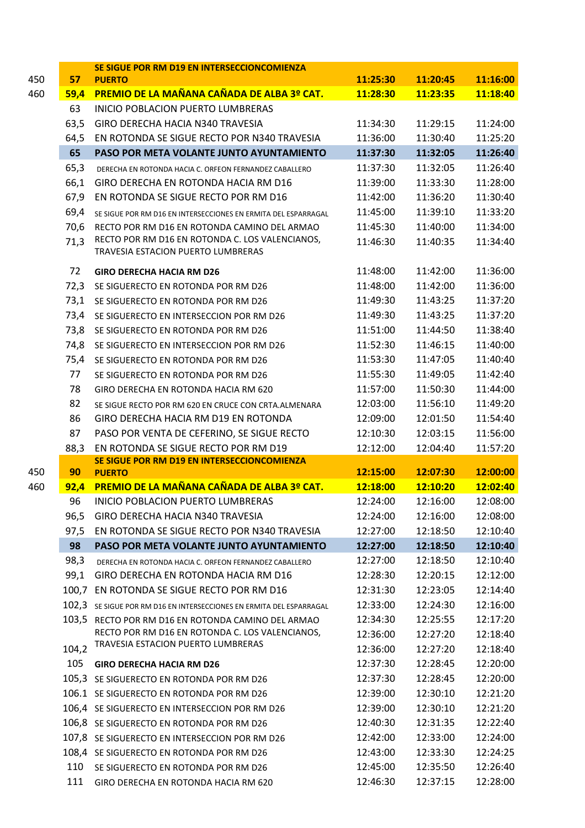|     |       | SE SIGUE POR RM D19 EN INTERSECCIONCOMIENZA                                           |          |          |          |
|-----|-------|---------------------------------------------------------------------------------------|----------|----------|----------|
| 450 | 57    | <b>PUERTO</b>                                                                         | 11:25:30 | 11:20:45 | 11:16:00 |
| 460 | 59,4  | <b>PREMIO DE LA MAÑANA CAÑADA DE ALBA 3º CAT.</b>                                     | 11:28:30 | 11:23:35 | 11:18:40 |
|     | 63    | INICIO POBLACION PUERTO LUMBRERAS                                                     |          |          |          |
|     | 63,5  | GIRO DERECHA HACIA N340 TRAVESIA                                                      | 11:34:30 | 11:29:15 | 11:24:00 |
|     | 64,5  | EN ROTONDA SE SIGUE RECTO POR N340 TRAVESIA                                           | 11:36:00 | 11:30:40 | 11:25:20 |
|     | 65    | PASO POR META VOLANTE JUNTO AYUNTAMIENTO                                              | 11:37:30 | 11:32:05 | 11:26:40 |
|     | 65,3  | DERECHA EN ROTONDA HACIA C. ORFEON FERNANDEZ CABALLERO                                | 11:37:30 | 11:32:05 | 11:26:40 |
|     | 66,1  | GIRO DERECHA EN ROTONDA HACIA RM D16                                                  | 11:39:00 | 11:33:30 | 11:28:00 |
|     | 67,9  | EN ROTONDA SE SIGUE RECTO POR RM D16                                                  | 11:42:00 | 11:36:20 | 11:30:40 |
|     | 69,4  | SE SIGUE POR RM D16 EN INTERSECCIONES EN ERMITA DEL ESPARRAGAL                        | 11:45:00 | 11:39:10 | 11:33:20 |
|     | 70,6  | RECTO POR RM D16 EN ROTONDA CAMINO DEL ARMAO                                          | 11:45:30 | 11:40:00 | 11:34:00 |
|     | 71,3  | RECTO POR RM D16 EN ROTONDA C. LOS VALENCIANOS,<br>TRAVESIA ESTACION PUERTO LUMBRERAS | 11:46:30 | 11:40:35 | 11:34:40 |
|     | 72    | <b>GIRO DERECHA HACIA RM D26</b>                                                      | 11:48:00 | 11:42:00 | 11:36:00 |
|     | 72,3  | SE SIGUERECTO EN ROTONDA POR RM D26                                                   | 11:48:00 | 11:42:00 | 11:36:00 |
|     | 73,1  | SE SIGUERECTO EN ROTONDA POR RM D26                                                   | 11:49:30 | 11:43:25 | 11:37:20 |
|     | 73,4  | SE SIGUERECTO EN INTERSECCION POR RM D26                                              | 11:49:30 | 11:43:25 | 11:37:20 |
|     | 73,8  | SE SIGUERECTO EN ROTONDA POR RM D26                                                   | 11:51:00 | 11:44:50 | 11:38:40 |
|     | 74,8  | SE SIGUERECTO EN INTERSECCION POR RM D26                                              | 11:52:30 | 11:46:15 | 11:40:00 |
|     | 75,4  | SE SIGUERECTO EN ROTONDA POR RM D26                                                   | 11:53:30 | 11:47:05 | 11:40:40 |
|     | 77    | SE SIGUERECTO EN ROTONDA POR RM D26                                                   | 11:55:30 | 11:49:05 | 11:42:40 |
|     | 78    | GIRO DERECHA EN ROTONDA HACIA RM 620                                                  | 11:57:00 | 11:50:30 | 11:44:00 |
|     | 82    | SE SIGUE RECTO POR RM 620 EN CRUCE CON CRTA.ALMENARA                                  | 12:03:00 | 11:56:10 | 11:49:20 |
|     | 86    | GIRO DERECHA HACIA RM D19 EN ROTONDA                                                  | 12:09:00 | 12:01:50 | 11:54:40 |
|     | 87    | PASO POR VENTA DE CEFERINO, SE SIGUE RECTO                                            | 12:10:30 | 12:03:15 | 11:56:00 |
|     | 88,3  | EN ROTONDA SE SIGUE RECTO POR RM D19                                                  | 12:12:00 | 12:04:40 | 11:57:20 |
|     |       | SE SIGUE POR RM D19 EN INTERSECCIONCOMIENZA                                           |          |          |          |
| 450 | 90    | <b>PUERTO</b>                                                                         | 12:15:00 | 12:07:30 | 12:00:00 |
| 460 | 92,4  | <b>PREMIO DE LA MAÑANA CAÑADA DE ALBA 3º CAT.</b>                                     | 12:18:00 | 12:10:20 | 12:02:40 |
|     | 96.   | INICIO POBLACION PUERTO LUMBRERAS                                                     | 12:24:00 | 12:16:00 | 12:08:00 |
|     |       | 96,5 GIRO DERECHA HACIA N340 TRAVESIA                                                 | 12:24:00 | 12:16:00 | 12:08:00 |
|     | 97,5  | EN ROTONDA SE SIGUE RECTO POR N340 TRAVESIA                                           | 12:27:00 | 12:18:50 | 12:10:40 |
|     | 98    | PASO POR META VOLANTE JUNTO AYUNTAMIENTO                                              | 12:27:00 | 12:18:50 | 12:10:40 |
|     | 98,3  | DERECHA EN ROTONDA HACIA C. ORFEON FERNANDEZ CABALLERO                                | 12:27:00 | 12:18:50 | 12:10:40 |
|     | 99,1  | GIRO DERECHA EN ROTONDA HACIA RM D16                                                  | 12:28:30 | 12:20:15 | 12:12:00 |
|     | 100,7 | EN ROTONDA SE SIGUE RECTO POR RM D16                                                  | 12:31:30 | 12:23:05 | 12:14:40 |
|     |       | 102,3 SE SIGUE POR RM D16 EN INTERSECCIONES EN ERMITA DEL ESPARRAGAL                  | 12:33:00 | 12:24:30 | 12:16:00 |
|     |       | 103,5 RECTO POR RM D16 EN ROTONDA CAMINO DEL ARMAO                                    | 12:34:30 | 12:25:55 | 12:17:20 |
|     |       | RECTO POR RM D16 EN ROTONDA C. LOS VALENCIANOS,<br>TRAVESIA ESTACION PUERTO LUMBRERAS | 12:36:00 | 12:27:20 | 12:18:40 |
|     | 104,2 |                                                                                       | 12:36:00 | 12:27:20 | 12:18:40 |
|     | 105   | <b>GIRO DERECHA HACIA RM D26</b>                                                      | 12:37:30 | 12:28:45 | 12:20:00 |
|     |       | 105,3 SE SIGUERECTO EN ROTONDA POR RM D26                                             | 12:37:30 | 12:28:45 | 12:20:00 |
|     |       | 106.1 SE SIGUERECTO EN ROTONDA POR RM D26                                             | 12:39:00 | 12:30:10 | 12:21:20 |
|     |       | 106,4 SE SIGUERECTO EN INTERSECCION POR RM D26                                        | 12:39:00 | 12:30:10 | 12:21:20 |
|     |       | 106,8 SE SIGUERECTO EN ROTONDA POR RM D26                                             | 12:40:30 | 12:31:35 | 12:22:40 |
|     |       | 107,8 SE SIGUERECTO EN INTERSECCION POR RM D26                                        | 12:42:00 | 12:33:00 | 12:24:00 |
|     |       | 108,4 SE SIGUERECTO EN ROTONDA POR RM D26                                             | 12:43:00 | 12:33:30 | 12:24:25 |
|     | 110   | SE SIGUERECTO EN ROTONDA POR RM D26                                                   | 12:45:00 | 12:35:50 | 12:26:40 |
|     | 111   | GIRO DERECHA EN ROTONDA HACIA RM 620                                                  | 12:46:30 | 12:37:15 | 12:28:00 |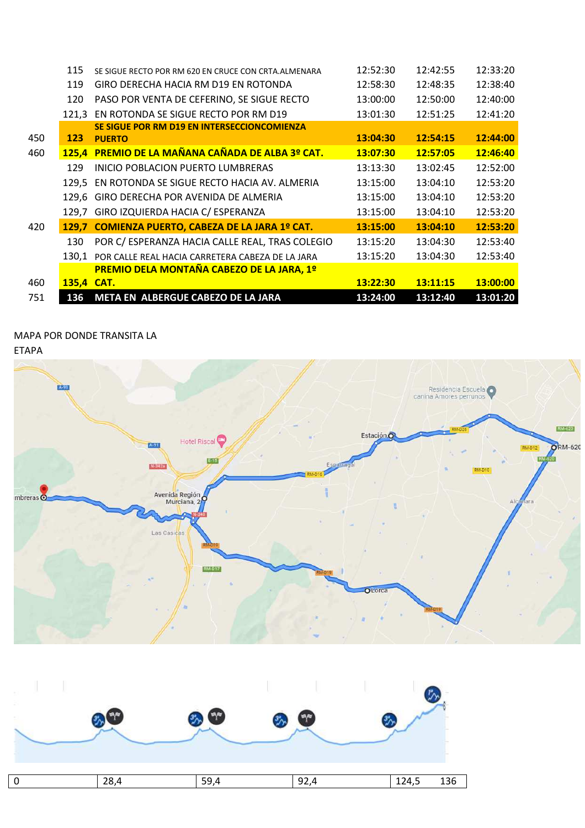|     | 115        | SE SIGUE RECTO POR RM 620 EN CRUCE CON CRTA. ALMENARA | 12:52:30 | 12:42:55 | 12:33:20 |
|-----|------------|-------------------------------------------------------|----------|----------|----------|
|     | 119        | GIRO DERECHA HACIA RM D19 EN ROTONDA                  | 12:58:30 | 12:48:35 | 12:38:40 |
|     | 120        | PASO POR VENTA DE CEFERINO, SE SIGUE RECTO            | 13:00:00 | 12:50:00 | 12:40:00 |
|     | 121.3      | EN ROTONDA SE SIGUE RECTO POR RM D19                  | 13:01:30 | 12:51:25 | 12:41:20 |
|     |            | SE SIGUE POR RM D19 EN INTERSECCIONCOMIENZA           |          |          |          |
| 450 | 123        | <b>PUERTO</b>                                         | 13:04:30 | 12:54:15 | 12:44:00 |
| 460 |            | 125,4 PREMIO DE LA MAÑANA CAÑADA DE ALBA 3º CAT.      | 13:07:30 | 12:57:05 | 12:46:40 |
|     | 129        | INICIO POBLACION PUERTO LUMBRERAS                     | 13:13:30 | 13:02:45 | 12:52:00 |
|     |            | 129,5 EN ROTONDA SE SIGUE RECTO HACIA AV. ALMERIA     | 13:15:00 | 13:04:10 | 12:53:20 |
|     | 129.6      | GIRO DERECHA POR AVENIDA DE ALMERIA                   | 13:15:00 | 13:04:10 | 12:53:20 |
|     | 129.7      | GIRO IZQUIERDA HACIA C/ ESPERANZA                     | 13:15:00 | 13:04:10 | 12:53:20 |
| 420 | 129.7      | COMIENZA PUERTO, CABEZA DE LA JARA 1º CAT.            | 13:15:00 | 13:04:10 | 12:53:20 |
|     | 130        | POR C/ ESPERANZA HACIA CALLE REAL, TRAS COLEGIO       | 13:15:20 | 13:04:30 | 12:53:40 |
|     | 130.1      | POR CALLE REAL HACIA CARRETERA CABEZA DE LA JARA      | 13:15:20 | 13:04:30 | 12:53:40 |
|     |            | <b>PREMIO DELA MONTAÑA CABEZO DE LA JARA, 1º</b>      |          |          |          |
| 460 | 135,4 CAT. |                                                       | 13:22:30 | 13:11:15 | 13:00:00 |
| 751 | 136        | META EN ALBERGUE CABEZO DE LA JARA                    | 13:24:00 | 13:12:40 | 13:01:20 |

## MAPA POR DONDE TRANSITA LA

ETAPA